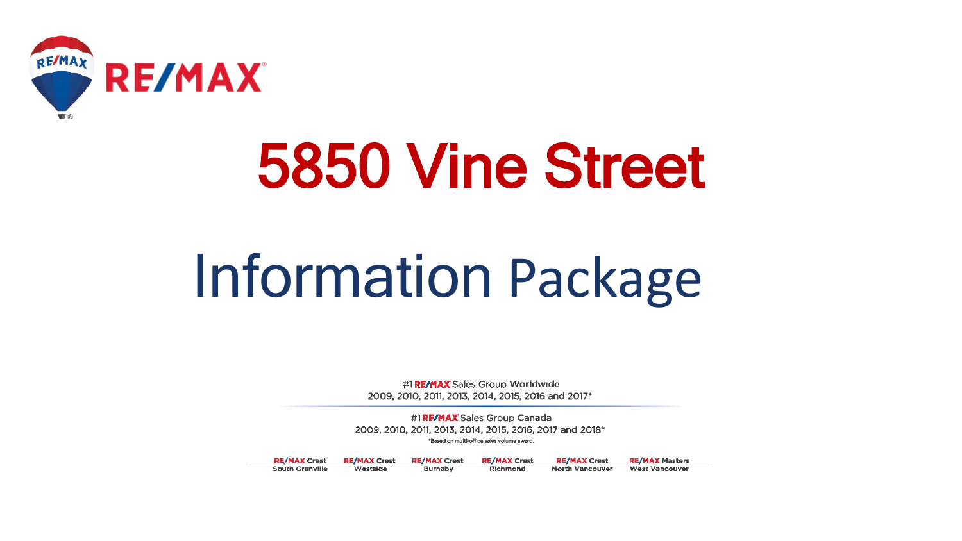

# 5850 Vine Street

# Information Package

#1 RE/MAX Sales Group Worldwide 2009, 2010, 2011, 2013, 2014, 2015, 2016 and 2017\*

#1 RE/MAX Sales Group Canada 2009, 2010, 2011, 2013, 2014, 2015, 2016, 2017 and 2018\* \*Based on multi-office sales volume award.

**RE/MAX Crest RE/MAX Crest** Westside **South Granville** 

**RE/MAX Crest Burnaby** 

**RE/MAX Crest RE/MAX Crest** Richmond **North Vancouver**  **RE/MAX Masters West Vancouver**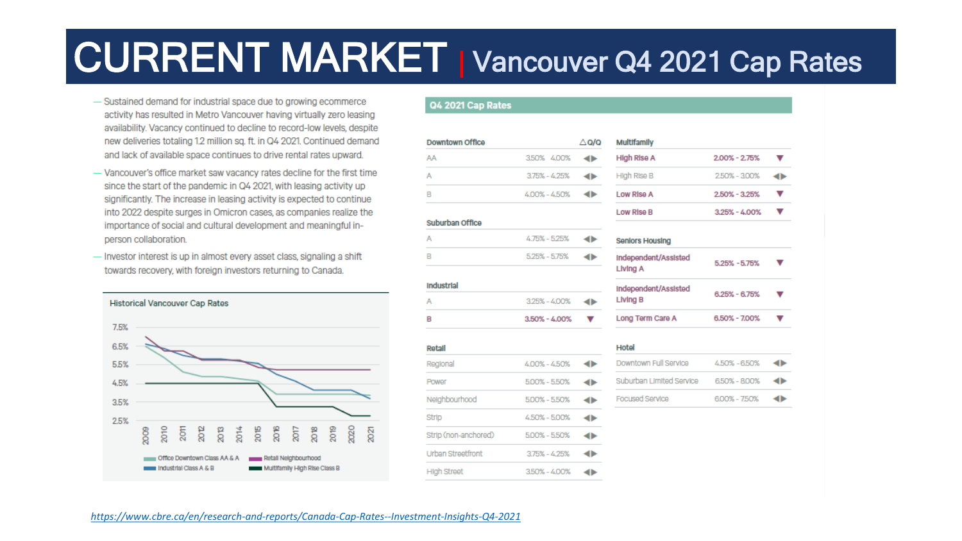# CURRENT MARKET <sup>|</sup> Vancouver Q4 2021 Cap Rates

- Sustained demand for industrial space due to growing ecommerce activity has resulted in Metro Vancouver having virtually zero leasing availability. Vacancy continued to decline to record-low levels, despite new deliveries totaling 1.2 million sq. ft. in Q4 2021. Continued demand and lack of available space continues to drive rental rates upward.
- Vancouver's office market saw vacancy rates decline for the first time since the start of the pandemic in Q4 2021, with leasing activity up significantly. The increase in leasing activity is expected to continue into 2022 despite surges in Omicron cases, as companies realize the importance of social and cultural development and meaningful inperson collaboration.
- Investor interest is up in almost every asset class, signaling a shift towards recovery, with foreign investors returning to Canada.



#### **Q4 2021 Cap Rates**

| Downtown Office |                   | $\triangle$ Q/Q |
|-----------------|-------------------|-----------------|
| AA              | 350% 400%         |                 |
| A               | $3.75\% - 4.25\%$ |                 |
| B               | 4.00% - 4.50%     |                 |
|                 |                   |                 |
| Suburban Office |                   |                 |
| A               | 4.75% - 5.25%     |                 |
| B               | 5.25% - 5.75%     |                 |
|                 |                   |                 |

| Industrial |                   |  |
|------------|-------------------|--|
| A          | 325% - 400%       |  |
| R          | $3.50\% - 4.00\%$ |  |

| Retall               |                 |  |
|----------------------|-----------------|--|
| Regional             | 400% - 450%     |  |
| Power                | 500% - 550%     |  |
| Neighbourhood        | 500% - 550%     |  |
| <b>Strip</b>         | 450% - 500%     |  |
| Strip (non-anchored) | 500% - 550%     |  |
| Urban Streetfront    | 375% - 4.25%    |  |
| <b>High Street</b>   | $350\% - 400\%$ |  |

| High Rise A                      | 2.00% - 2.75%     |  |
|----------------------------------|-------------------|--|
| High Rise B                      | 250% - 300%       |  |
| Low Rise A                       | $2.50\% - 3.25\%$ |  |
| Low Rise B                       | $3.25\% - 4.00\%$ |  |
| <b>Seniors Housing</b>           |                   |  |
| Independent/Assisted<br>Living A | $5.25\% - 5.75\%$ |  |
| Independent/Assisted<br>Living B | $6.25\% - 6.75\%$ |  |
| Long Term Care A                 | $6.50\% - 7.00\%$ |  |
| Hotel                            |                   |  |

| Downtown Full Service    | 4.50% - 6.50% | $\rightarrow$ |
|--------------------------|---------------|---------------|
| Suburban Limited Service | 6.50% - 8.00% | $\rightarrow$ |
| <b>Focused Service</b>   | 600% - 750%   | $\rightarrow$ |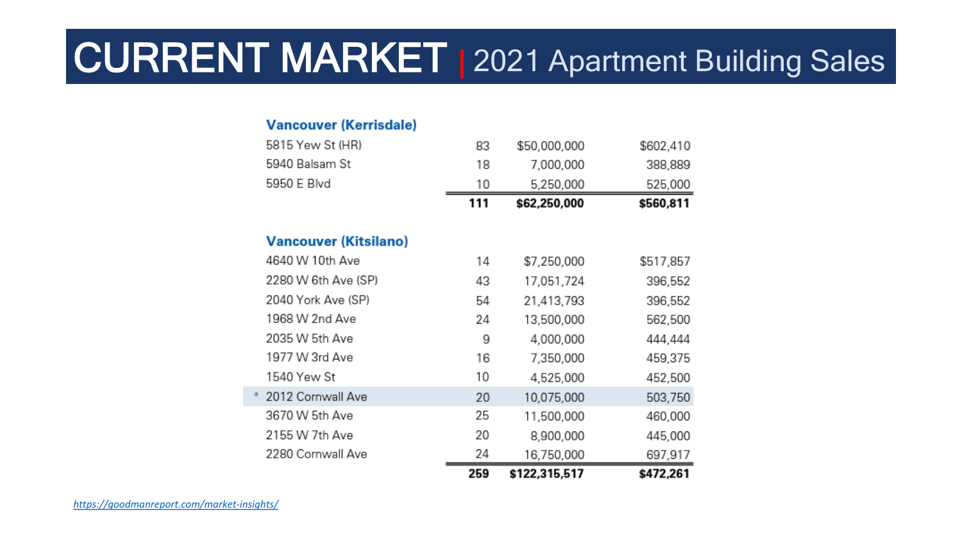# CURRENT MARKET | 2021 Apartment Building Sales

#### **Vancouver (Kerrisdale)**

|                              | 259 | \$122,315,517 | \$472,261 |
|------------------------------|-----|---------------|-----------|
| 2280 Cornwall Ave            | 24  | 16,750,000    | 697,917   |
| 2155 W 7th Ave               | 20  | 8,900,000     | 445,000   |
| 3670 W 5th Ave               | 25  | 11,500,000    | 460,000   |
| 2012 Cornwall Ave            | 20  | 10,075,000    | 503,750   |
| 1540 Yew St                  | 10  | 4,525,000     | 452,500   |
| 1977 W 3rd Ave               | 16  | 7,350,000     | 459,375   |
| 2035 W 5th Ave               | 9   | 4,000,000     | 444,444   |
| 1968 W 2nd Ave               | 24  | 13,500,000    | 562,500   |
| 2040 York Ave (SP)           | 54  | 21,413,793    | 396,552   |
| 2280 W 6th Ave (SP)          | 43  | 17,051,724    | 396,552   |
| 4640 W 10th Ave              | 14  | \$7,250,000   | \$517,857 |
| <b>Vancouver (Kitsilano)</b> |     |               |           |
|                              | 111 | \$62,250,000  | \$560,811 |
| 5950 E Blvd                  | 10  | 5,250,000     | 525,000   |
| 5940 Balsam St               | 18  | 7,000,000     | 388,889   |
| 5815 Yew St (HR)             | 83  | \$50,000,000  | \$602,410 |
|                              |     |               |           |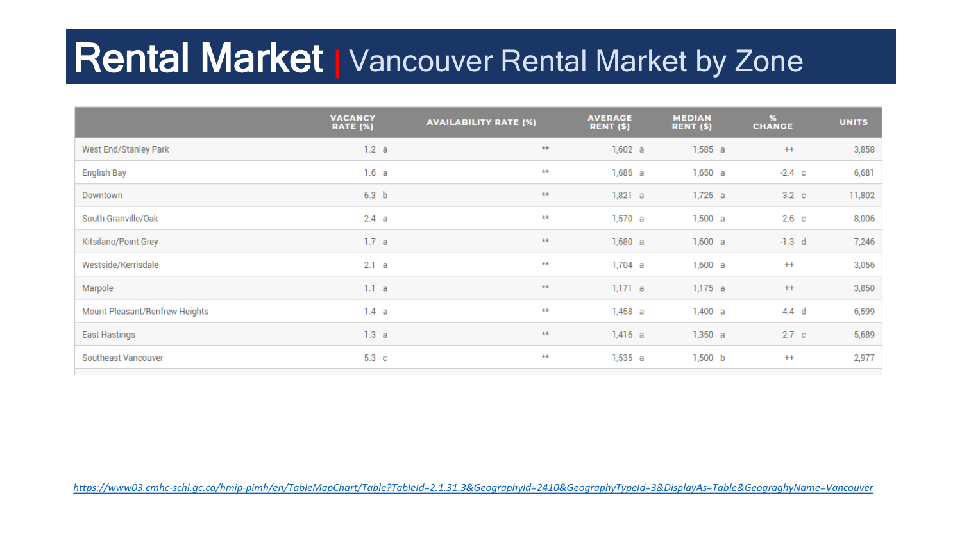### **Rental Market | Vancouver Rental Market by Zone**

|                                | <b>VACANCY</b><br><b>RATE (%)</b> | <b>AVAILABILITY RATE (%)</b> | <b>AVERAGE</b><br>RENT (\$) | <b>MEDIAN</b><br>RENT (\$) | $\frac{96}{2}$<br><b>CHANGE</b> | <b>UNITS</b> |
|--------------------------------|-----------------------------------|------------------------------|-----------------------------|----------------------------|---------------------------------|--------------|
| West End/Stanley Park          | 1.2 a                             | $\pm\pm$                     | 1,602 a                     | 1,585 a                    | $++$                            | 3,858        |
| English Bay                    | 1.6 a                             | $\pm\pm$                     | 1,686 a                     | 1,650a                     | $-2.4$ c                        | 6,681        |
| Downtown                       | 6.3 <sub>b</sub>                  | $\pm\pm$                     | 1,821 a                     | 1,725 a                    | 3.2 <sub>c</sub>                | 11,802       |
| South Granville/Oak            | 2.4 a                             | **                           | 1,570a                      | 1,500 a                    | 2.6 <sub>c</sub>                | 8,006        |
| Kitsilano/Point Grey           | 1.7 a                             | $\pm\pm$                     | 1,680a                      | 1,600 a                    | $-1.3$ d                        | 7,246        |
| Westside/Kerrisdale            | 2.1 a                             | $\pm\pm$                     | $1,704$ a                   | 1,600 a                    | $++$                            | 3,056        |
| Marpole                        | 1.1 a                             | $\star\star$                 | 1,171 a                     | 1,175 a                    | $++$                            | 3,850        |
| Mount Pleasant/Renfrew Heights | 1.4 a                             | **                           | 1,458 a                     | 1,400 a                    | $4.4$ d                         | 6,599        |
| <b>East Hastings</b>           | 1.3 a                             | 未来                           | $1,416$ a                   | 1,350 a                    | 2.7 <sub>c</sub>                | 5,689        |
| Southeast Vancouver            | 5.3 <sub>c</sub>                  | $\star\star$                 | 1,535 a                     | 1,500 b                    | $++$                            | 2,977        |

*<https://www03.cmhc-schl.gc.ca/hmip-pimh/en/TableMapChart/Table?TableId=2.1.31.3&GeographyId=2410&GeographyTypeId=3&DisplayAs=Table&GeograghyName=Vancouver>*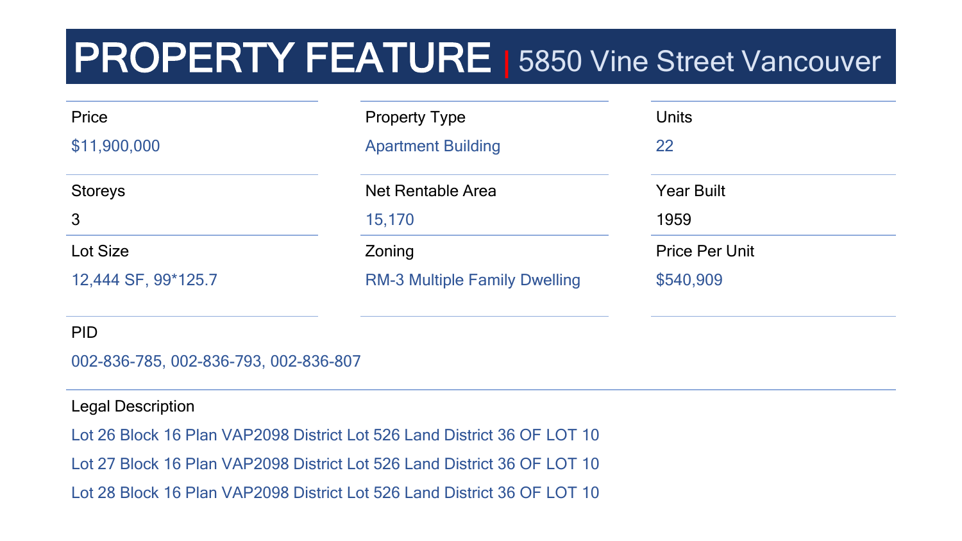# **PROPERTY FEATURE** 5850 Vine Street Vancouver

| Price               | <b>Property Type</b>                 | <b>Units</b>          |
|---------------------|--------------------------------------|-----------------------|
| \$11,900,000        | <b>Apartment Building</b>            | 22                    |
| <b>Storeys</b>      | <b>Net Rentable Area</b>             | <b>Year Built</b>     |
| $\mathbf{3}$        | 15,170                               | 1959                  |
| Lot Size            | Zoning                               | <b>Price Per Unit</b> |
| 12,444 SF, 99*125.7 | <b>RM-3 Multiple Family Dwelling</b> | \$540,909             |
| <b>PID</b>          |                                      |                       |

002-836-785, 002-836-793, 002-836-807

#### Legal Description

Lot 26 Block 16 Plan VAP2098 District Lot 526 Land District 36 OF LOT 10 Lot 27 Block 16 Plan VAP2098 District Lot 526 Land District 36 OF LOT 10 Lot 28 Block 16 Plan VAP2098 District Lot 526 Land District 36 OF LOT 10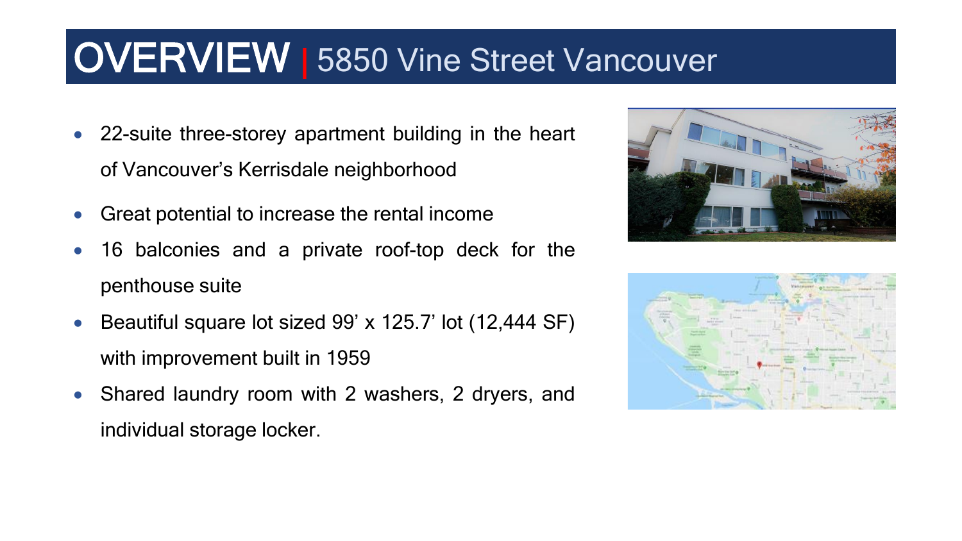### **OVERVIEW | 5850 Vine Street Vancouver**

- 22-suite three-storey apartment building in the heart of Vancouver's Kerrisdale neighborhood
- Great potential to increase the rental income
- 16 balconies and a private roof-top deck for the penthouse suite
- Beautiful square lot sized 99' x 125.7' lot (12,444 SF) with improvement built in 1959
- Shared laundry room with 2 washers, 2 dryers, and individual storage locker.



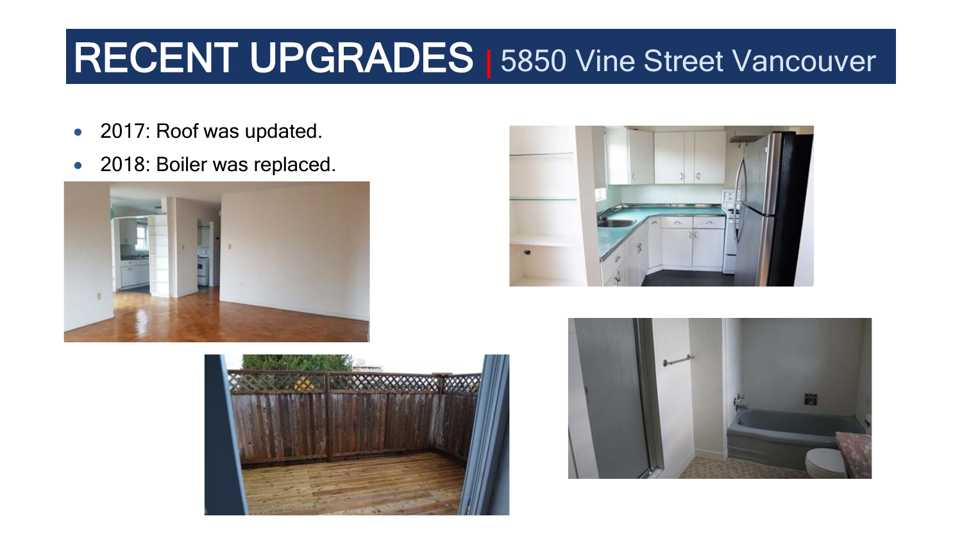### RECENT UPGRADES | 5850 Vine Street Vancouver

- 2017: Roof was updated.
- 2018: Boiler was replaced.







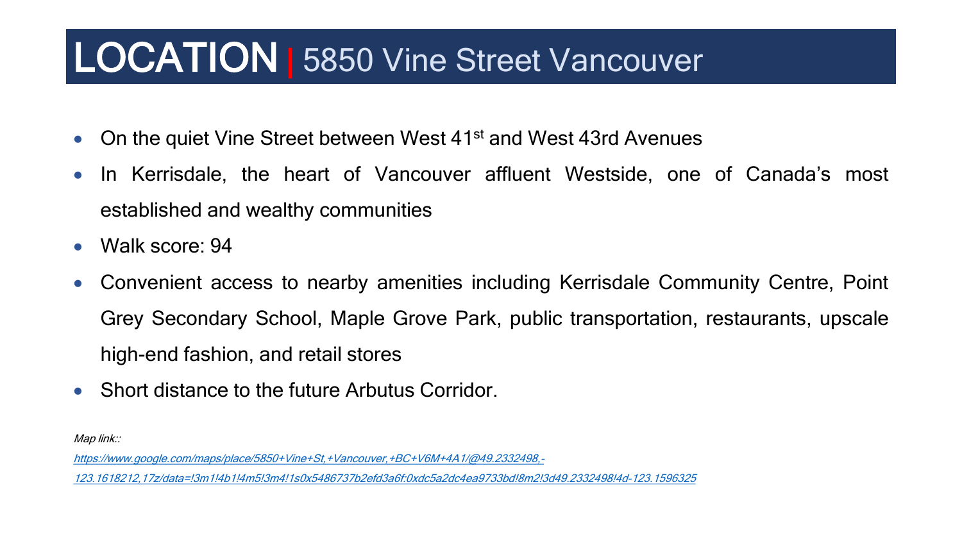### LOCATION | 5850 Vine Street Vancouver

- On the quiet Vine Street between West 41<sup>st</sup> and West 43rd Avenues
- In Kerrisdale, the heart of Vancouver affluent Westside, one of Canada's most established and wealthy communities
- Walk score: 94
- Convenient access to nearby amenities including Kerrisdale Community Centre, Point Grey Secondary School, Maple Grove Park, public transportation, restaurants, upscale high-end fashion, and retail stores
- Short distance to the future Arbutus Corridor.

Map link::

https://www.google.com/maps/place/5850+Vine+St,+Vancouver,+BC+V6M+4A1/@49.2332498,-

[123.1618212,17z/data=!3m1!4b1!4m5!3m4!1s0x5486737b2efd3a6f:0xdc5a2dc4ea9733bd!8m2!3d49.2332498!4d-123.1596325](https://www.google.com/maps/place/5850+Vine+St,+Vancouver,+BC+V6M+4A1/@49.2332498,-123.1618212,17z/data=!3m1!4b1!4m5!3m4!1s0x5486737b2efd3a6f:0xdc5a2dc4ea9733bd!8m2!3d49.2332498!4d-123.1596325)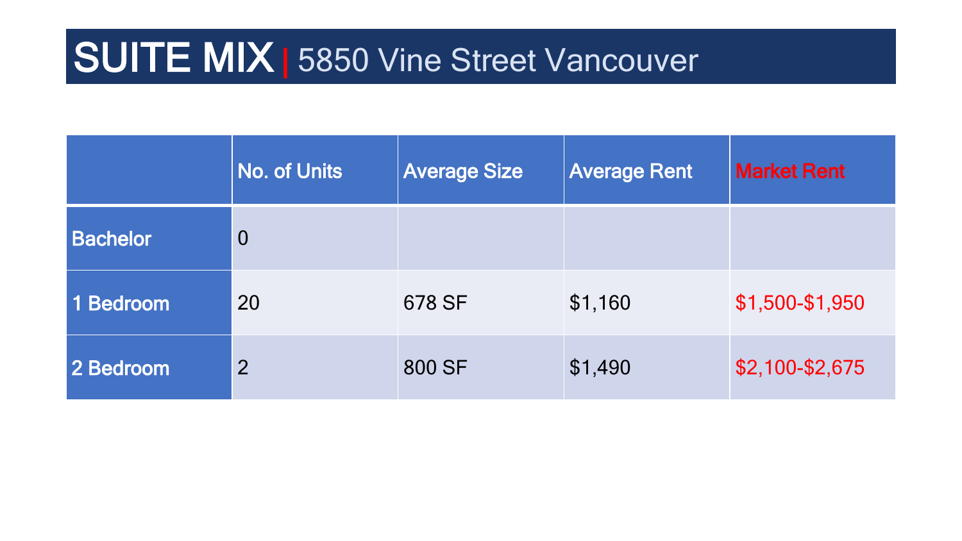### **SUITE MIX | 5850 Vine Street Vancouver**

|                 | <b>No. of Units</b> | <b>Average Size</b> | <b>Average Rent</b> | <b>Market Rent</b> |
|-----------------|---------------------|---------------------|---------------------|--------------------|
| <b>Bachelor</b> | $\overline{0}$      |                     |                     |                    |
| 1 Bedroom       | 20                  | 678 SF              | \$1,160             | \$1,500-\$1,950    |
| 2 Bedroom       | $\overline{2}$      | 800 SF              | \$1,490             | \$2,100-\$2,675    |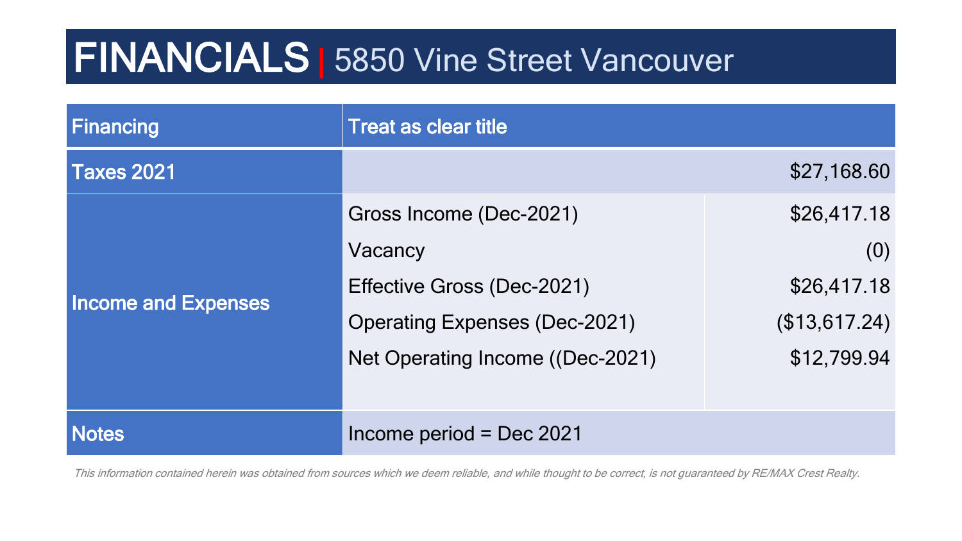### FINANCIALS | 5850 Vine Street Vancouver

| Financing                  | <b>Treat as clear title</b>          |               |  |
|----------------------------|--------------------------------------|---------------|--|
| <b>Taxes 2021</b>          |                                      | \$27,168.60   |  |
|                            | Gross Income (Dec-2021)              | \$26,417.18   |  |
|                            | Vacancy                              | (0)           |  |
| <b>Income and Expenses</b> | Effective Gross (Dec-2021)           | \$26,417.18   |  |
|                            | <b>Operating Expenses (Dec-2021)</b> | (\$13,617.24) |  |
|                            | Net Operating Income ((Dec-2021)     | \$12,799.94   |  |
|                            |                                      |               |  |
| <b>Notes</b>               | Income period = Dec $2021$           |               |  |

This information contained herein was obtained from sources which we deem reliable, and while thought to be correct, is not guaranteed by RE/MAX Crest Realty.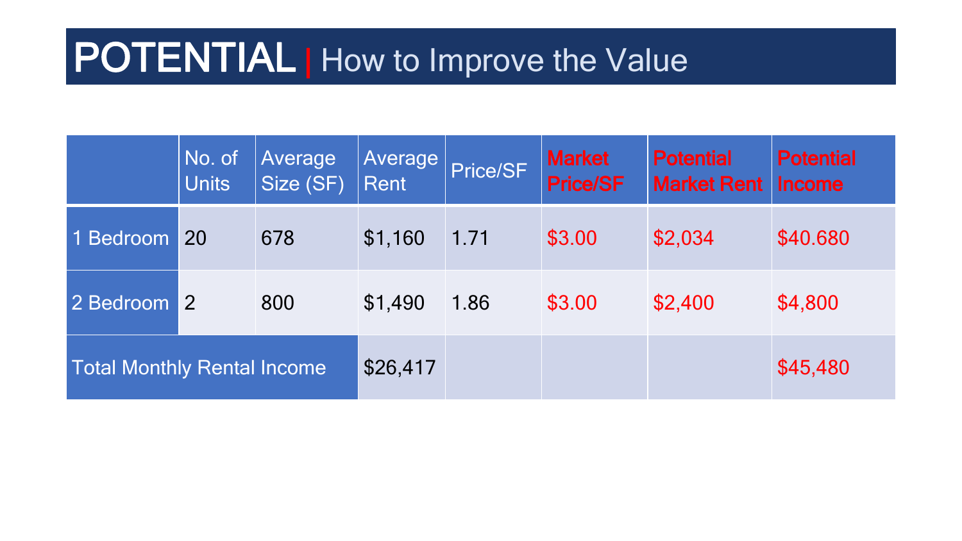# POTENTIAL | How to Improve the Value

|                                    | $No.$ of<br><b>Units</b> | Average<br>Size (SF) | Average<br>Rent | Price/SF | <b>Market</b><br><b>Price/SF</b> | <b>Potential</b><br><b>Market Rent</b> | <b>Potential</b><br><b>Income</b> |
|------------------------------------|--------------------------|----------------------|-----------------|----------|----------------------------------|----------------------------------------|-----------------------------------|
| 1 Bedroom                          | 20                       | 678                  | \$1,160         | 1.71     | \$3.00                           | \$2,034                                | \$40.680                          |
| 2 Bedroom                          | 2                        | 800                  | \$1,490         | 1.86     | \$3.00                           | \$2,400                                | \$4,800                           |
| <b>Total Monthly Rental Income</b> |                          |                      | \$26,417        |          |                                  |                                        | \$45,480                          |